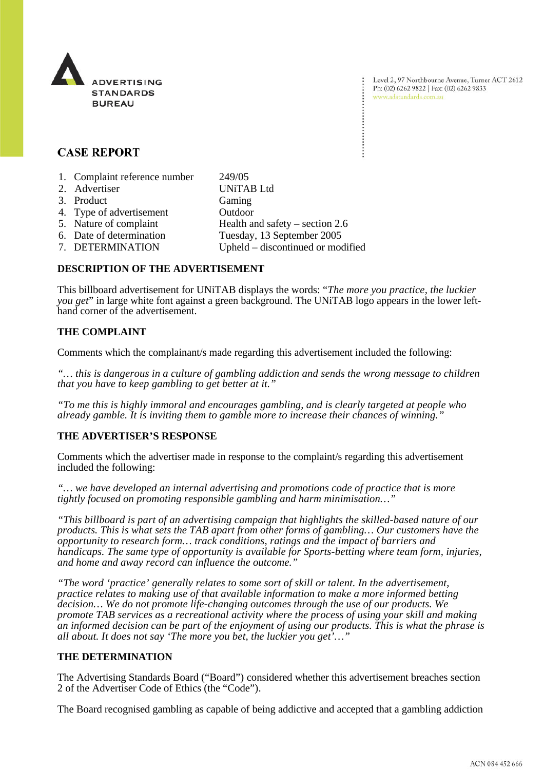

Level 2, 97 Northbourne Avenue, Turner ACT 2612 Ph: (02) 6262 9822 | Fax: (02) 6262 9833 www.adstandards.com.au

# **CASE REPORT**

| 1. Complaint reference number | 249/05                            |
|-------------------------------|-----------------------------------|
| 2. Advertiser                 | <b>UNiTAB</b> Ltd                 |
| 3. Product                    | Gaming                            |
| 4. Type of advertisement      | Outdoor                           |
| 5. Nature of complaint        | Health and safety $-$ section 2.6 |
| 6. Date of determination      | Tuesday, 13 September 2005        |
| 7. DETERMINATION              | Upheld – discontinued or modified |
|                               |                                   |

### **DESCRIPTION OF THE ADVERTISEMENT**

This billboard advertisement for UNiTAB displays the words: "*The more you practice, the luckier you get*" in large white font against a green background. The UNiTAB logo appears in the lower lefthand corner of the advertisement.

# **THE COMPLAINT**

Comments which the complainant/s made regarding this advertisement included the following:

*"… this is dangerous in a culture of gambling addiction and sends the wrong message to children that you have to keep gambling to get better at it."*

*"To me this is highly immoral and encourages gambling, and is clearly targeted at people who already gamble. It is inviting them to gamble more to increase their chances of winning."*

# **THE ADVERTISER'S RESPONSE**

Comments which the advertiser made in response to the complaint/s regarding this advertisement included the following:

*"… we have developed an internal advertising and promotions code of practice that is more tightly focused on promoting responsible gambling and harm minimisation…"*

*"This billboard is part of an advertising campaign that highlights the skilled-based nature of our products. This is what sets the TAB apart from other forms of gambling… Our customers have the opportunity to research form… track conditions, ratings and the impact of barriers and handicaps. The same type of opportunity is available for Sports-betting where team form, injuries, and home and away record can influence the outcome."*

*"The word 'practice' generally relates to some sort of skill or talent. In the advertisement, practice relates to making use of that available information to make a more informed betting decision… We do not promote life-changing outcomes through the use of our products. We promote TAB services as a recreational activity where the process of using your skill and making an informed decision can be part of the enjoyment of using our products. This is what the phrase is all about. It does not say 'The more you bet, the luckier you get'…"*

#### **THE DETERMINATION**

The Advertising Standards Board ("Board") considered whether this advertisement breaches section 2 of the Advertiser Code of Ethics (the "Code").

The Board recognised gambling as capable of being addictive and accepted that a gambling addiction